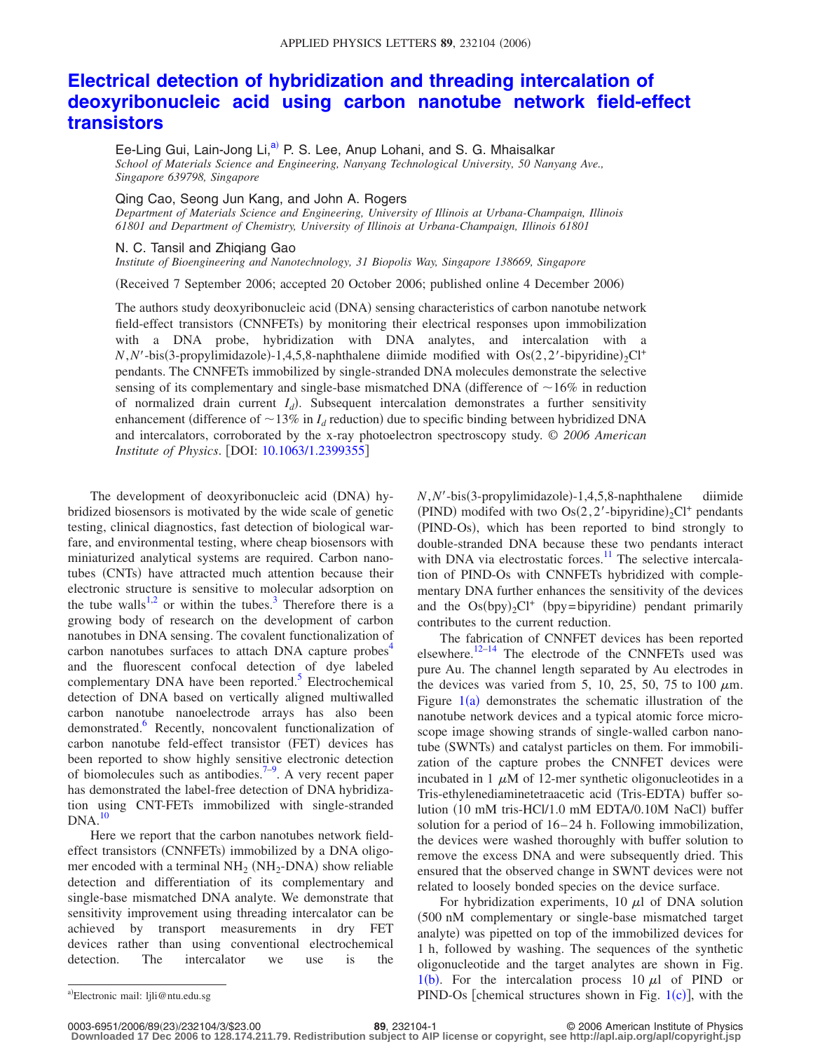## **[Electrical detection of hybridization and threading intercalation of](http://dx.doi.org/10.1063/1.2399355) [deoxyribonucleic acid using carbon nanotube network field-effect](http://dx.doi.org/10.1063/1.2399355) [transistors](http://dx.doi.org/10.1063/1.2399355)**

Ee-Ling Gui, Lain-Jong Li,<sup>a)</sup> P. S. Lee, Anup Lohani, and S. G. Mhaisalkar *School of Materials Science and Engineering, Nanyang Technological University, 50 Nanyang Ave., Singapore 639798, Singapore*

## Qing Cao, Seong Jun Kang, and John A. Rogers

*Department of Materials Science and Engineering, University of Illinois at Urbana-Champaign, Illinois 61801 and Department of Chemistry, University of Illinois at Urbana-Champaign, Illinois 61801*

N. C. Tansil and Zhiqiang Gao

*Institute of Bioengineering and Nanotechnology, 31 Biopolis Way, Singapore 138669, Singapore*

Received 7 September 2006; accepted 20 October 2006; published online 4 December 2006-

The authors study deoxyribonucleic acid (DNA) sensing characteristics of carbon nanotube network field-effect transistors (CNNFETs) by monitoring their electrical responses upon immobilization with a DNA probe, hybridization with DNA analytes, and intercalation with a  $N, N'$ -bis(3-propylimidazole)-1,4,5,8-naphthalene diimide modified with  $Os(2, 2'-bipyridine)_{2}Cl^{+}$ pendants. The CNNFETs immobilized by single-stranded DNA molecules demonstrate the selective sensing of its complementary and single-base mismatched DNA (difference of  $\sim$ 16% in reduction of normalized drain current *I<sub>d</sub>*). Subsequent intercalation demonstrates a further sensitivity enhancement (difference of  $\sim$  13% in  $I_d$  reduction) due to specific binding between hybridized DNA and intercalators, corroborated by the x-ray photoelectron spectroscopy study. © *2006 American Institute of Physics*. DOI: [10.1063/1.2399355](http://dx.doi.org/10.1063/1.2399355)

The development of deoxyribonucleic acid (DNA) hybridized biosensors is motivated by the wide scale of genetic testing, clinical diagnostics, fast detection of biological warfare, and environmental testing, where cheap biosensors with miniaturized analytical systems are required. Carbon nanotubes (CNTs) have attracted much attention because their electronic structure is sensitive to molecular adsorption on the tube walls<sup>1,[2](#page-2-1)</sup> or within the tubes.<sup>3</sup> Therefore there is a growing body of research on the development of carbon nanotubes in DNA sensing. The covalent functionalization of carbon nanotubes surfaces to attach DNA capture probes $4$ and the fluorescent confocal detection of dye labeled complementary DNA have been reported. $5$  Electrochemical detection of DNA based on vertically aligned multiwalled carbon nanotube nanoelectrode arrays has also been demonstrated.<sup>6</sup> Recently, noncovalent functionalization of carbon nanotube feld-effect transistor (FET) devices has been reported to show highly sensitive electronic detection of biomolecules such as antibodies.<sup>7-9</sup>. A very recent paper has demonstrated the label-free detection of DNA hybridization using CNT-FETs immobilized with single-stranded  $DNA.<sup>10</sup>$ 

Here we report that the carbon nanotubes network fieldeffect transistors (CNNFETs) immobilized by a DNA oligomer encoded with a terminal  $NH_2(NH_2-DNA)$  show reliable detection and differentiation of its complementary and single-base mismatched DNA analyte. We demonstrate that sensitivity improvement using threading intercalator can be achieved by transport measurements in dry FET devices rather than using conventional electrochemical detection. The intercalator we use is the

*N*, *N'*-bis(3-propylimidazole)-1,4,5,8-naphthalene diimide (PIND) modifed with two  $\text{Os}(2, 2'-bipyridine)_{2}\text{Cl}^+$  pendants (PIND-Os), which has been reported to bind strongly to double-stranded DNA because these two pendants interact with DNA via electrostatic forces. $11$  The selective intercalation of PIND-Os with CNNFETs hybridized with complementary DNA further enhances the sensitivity of the devices and the  $\text{Os(bpy)}_2\text{Cl}^+$  (bpy=bipyridine) pendant primarily contributes to the current reduction.

The fabrication of CNNFET devices has been reported elsewhere.<sup>12[–14](#page-2-11)</sup> The electrode of the CNNFETs used was pure Au. The channel length separated by Au electrodes in the devices was varied from 5, 10, 25, 50, 75 to 100  $\mu$ m. Figure  $1(a)$  $1(a)$  demonstrates the schematic illustration of the nanotube network devices and a typical atomic force microscope image showing strands of single-walled carbon nanotube (SWNTs) and catalyst particles on them. For immobilization of the capture probes the CNNFET devices were incubated in 1  $\mu$ M of 12-mer synthetic oligonucleotides in a Tris-ethylenediaminetetraacetic acid (Tris-EDTA) buffer solution (10 mM tris-HCl/1.0 mM EDTA/0.10M NaCl) buffer solution for a period of 16–24 h. Following immobilization, the devices were washed thoroughly with buffer solution to remove the excess DNA and were subsequently dried. This ensured that the observed change in SWNT devices were not related to loosely bonded species on the device surface.

For hybridization experiments, 10  $\mu$ l of DNA solution 500 nM complementary or single-base mismatched target analyte) was pipetted on top of the immobilized devices for 1 h, followed by washing. The sequences of the synthetic oligonucleotide and the target analytes are shown in Fig.  $1(b)$  $1(b)$ . For the intercalation process 10  $\mu$ l of PIND or a) Electronic mail: Ijli@ntu.edu.sg  $\text{PIND-Os}$  [chemical structures shown in Fig. [1](#page-1-0)(c)], with the

<span id="page-0-0"></span>Electronic mail: ljli@ntu.edu.sg

**<sup>23.2104-1</sup>** © 2006 American Institute of Physics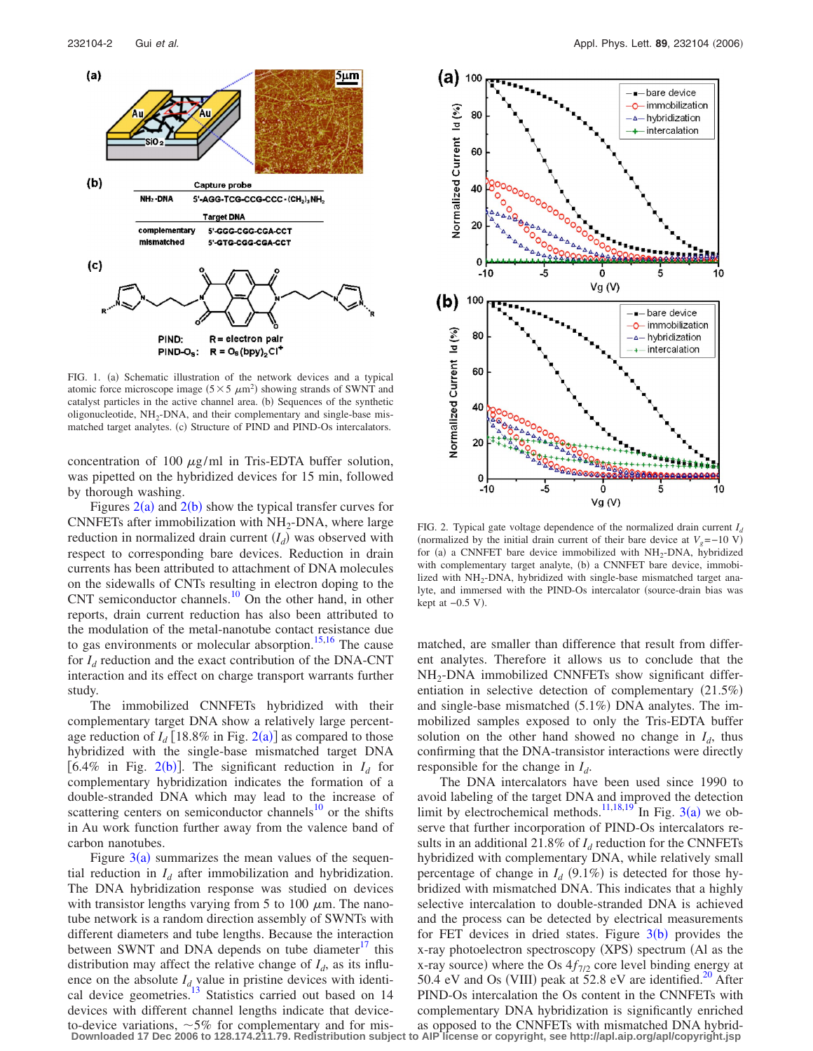<span id="page-1-0"></span>

FIG. 1. (a) Schematic illustration of the network devices and a typical atomic force microscope image  $(5 \times 5 \ \mu \text{m}^2)$  showing strands of SWNT and catalyst particles in the active channel area. (b) Sequences of the synthetic oligonucleotide,  $NH_2$ -DNA, and their complementary and single-base mismatched target analytes. (c) Structure of PIND and PIND-Os intercalators.

concentration of 100  $\mu$ g/ml in Tris-EDTA buffer solution, was pipetted on the hybridized devices for 15 min, followed by thorough washing.

Figures  $2(a)$  $2(a)$  and  $2(b)$  show the typical transfer curves for CNNFETs after immobilization with  $NH<sub>2</sub>$ -DNA, where large reduction in normalized drain current  $(I_d)$  was observed with respect to corresponding bare devices. Reduction in drain currents has been attributed to attachment of DNA molecules on the sidewalls of CNTs resulting in electron doping to the CNT semiconductor channels.<sup>10</sup> On the other hand, in other reports, drain current reduction has also been attributed to the modulation of the metal-nanotube contact resistance due to gas environments or molecular absorption.<sup>15[,16](#page-2-13)</sup> The cause for  $I_d$  reduction and the exact contribution of the DNA-CNT interaction and its effect on charge transport warrants further study.

The immobilized CNNFETs hybridized with their complementary target DNA show a relatively large percentage reduction of  $I_d$  [18.8% in Fig. [2](#page-1-1)(a)] as compared to those hybridized with the single-base mismatched target DNA [6.4% in Fig. 2([b](#page-1-1))]. The significant reduction in  $I_d$  for complementary hybridization indicates the formation of a double-stranded DNA which may lead to the increase of scattering centers on semiconductor channels<sup>10</sup> or the shifts in Au work function further away from the valence band of carbon nanotubes.

Figure  $3(a)$  $3(a)$  summarizes the mean values of the sequential reduction in  $I_d$  after immobilization and hybridization. The DNA hybridization response was studied on devices with transistor lengths varying from 5 to 100  $\mu$ m. The nanotube network is a random direction assembly of SWNTs with different diameters and tube lengths. Because the interaction between SWNT and DNA depends on tube diameter $\frac{17}{11}$  this distribution may affect the relative change of  $I_d$ , as its influence on the absolute  $I_{d}$  value in pristine devices with identical device geometries.<sup>13</sup> Statistics carried out based on 14 devices with different channel lengths indicate that deviceto-device variations,  $\sim$  5% for complementary and for mis-**Downloaded 17 Dec 2006 to 128.174.211.79. Redistribution subject to AIP license or copyright, see http://apl.aip.org/apl/copyright.jsp**

<span id="page-1-1"></span>

FIG. 2. Typical gate voltage dependence of the normalized drain current  $I_d$ (normalized by the initial drain current of their bare device at  $V_g$ =−10 V) for (a) a CNNFET bare device immobilized with  $NH<sub>2</sub>-DNA$ , hybridized with complementary target analyte, (b) a CNNFET bare device, immobilized with  $NH_2$ -DNA, hybridized with single-base mismatched target analyte, and immersed with the PIND-Os intercalator (source-drain bias was kept at  $-0.5$  V).

matched, are smaller than difference that result from different analytes. Therefore it allows us to conclude that the  $NH<sub>2</sub>-DNA$  immobilized CNNFETs show significant differentiation in selective detection of complementary  $(21.5%)$ and single-base mismatched (5.1%) DNA analytes. The immobilized samples exposed to only the Tris-EDTA buffer solution on the other hand showed no change in  $I_d$ , thus confirming that the DNA-transistor interactions were directly responsible for the change in *Id*.

The DNA intercalators have been used since 1990 to avoid labeling of the target DNA and improved the detection limit by electrochemical methods.<sup>11,[18](#page-2-17)[,19](#page-2-18)</sup> In Fig. [3](#page-2-14)(a) we observe that further incorporation of PIND-Os intercalators results in an additional 21.8% of  $I<sub>d</sub>$  reduction for the CNNFETs hybridized with complementary DNA, while relatively small percentage of change in  $I_d$  (9.1%) is detected for those hybridized with mismatched DNA. This indicates that a highly selective intercalation to double-stranded DNA is achieved and the process can be detected by electrical measurements for FET devices in dried states. Figure  $3(b)$  $3(b)$  provides the x-ray photoelectron spectroscopy (XPS) spectrum (Al as the x-ray source) where the Os  $4f_{7/2}$  core level binding energy at 50.4 eV and Os (VIII) peak at  $52.8$  eV are identified.<sup>20</sup> After PIND-Os intercalation the Os content in the CNNFETs with complementary DNA hybridization is significantly enriched as opposed to the CNNFETs with mismatched DNA hybrid-